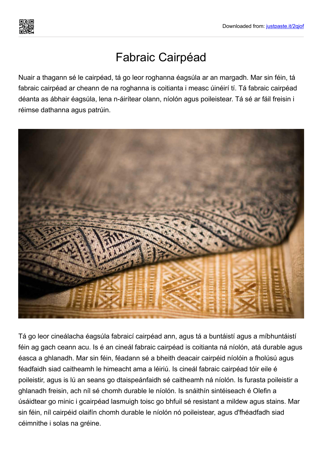

## Fabraic Cairpéad

Nuair a thagann sé le cairpéad, tá go leor roghanna éagsúla ar an margadh. Mar sin féin, tá fabraic cairpéad ar cheann de na roghanna is coitianta i measc úinéirí tí. Tá fabraic cairpéad déanta as ábhair éagsúla, lena n-áirítear olann, níolón agus poileistear. Tá sé ar fáil freisin i réimse dathanna agus patrúin.



Tá go leor cineálacha éagsúla fabraicí cairpéad ann, agus tá a buntáistí agus a míbhuntáistí féin ag gach ceann acu. Is é an cineál fabraic cairpéad is coitianta ná níolón, atá durable agus éasca a ghlanadh. Mar sin féin, féadann sé a bheith deacair cairpéid níolóin a fholúsú agus féadfaidh siad caitheamh le himeacht ama a léiriú. Is cineál fabraic cairpéad tóir eile é poileistir, agus is lú an seans go dtaispeánfaidh sé caitheamh ná níolón. Is furasta poileistir a ghlanadh freisin, ach níl sé chomh durable le níolón. Is snáithín sintéiseach é Olefin a úsáidtear go minic i gcairpéad lasmuigh toisc go bhfuil sé resistant a mildew agus stains. Mar sin féin, níl cairpéid olaifín chomh durable le níolón nó poileistear, agus d'fhéadfadh siad céimnithe i solas na gréine.